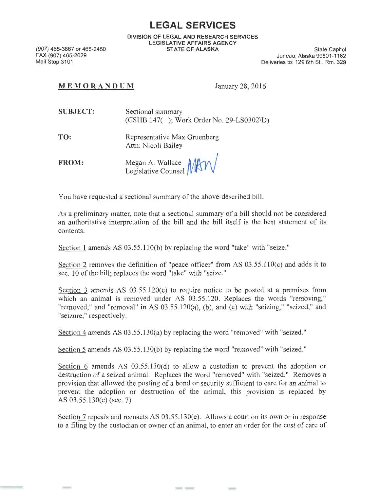## **LEGAL SERVICES**

DIVISION OF LEGAL AND RESEARCH SERVICES LEGISLATIVE AFFAIRS AGENCY STATE OF ALASKA State Capitol

(907) 465-3867 or 465-2450 FAX (907) 465-2029 Mail Stop 3101

Juneau, Alaska 99801-1182 Deliveries to: 129 6th St., Rm. 329

## MEM ORANDUM January 28, 2016

| <b>SUBJECT:</b> | Sectional summary                           |
|-----------------|---------------------------------------------|
|                 | $(CSHB 147()$ ; Work Order No. 29-LS0302\D) |

- TO: Representative Max Gruenberg Attn: Nicoli Bailey
- FROM: Megan A. Wallace *{M***\/** *V*<br>Legislative Counsel *{M***\/** *V*

You have requested a sectional summary of the above-described bill.

As a preliminary matter, note that a sectional summary of a bill should not be considered an authoritative interpretation of the bill and the bill itself is the best statement of its contents.

Section 1 amends AS 03.55.110(b) by replacing the word "take" with "seize."

Section 2 removes the definition of "peace officer" from AS 03.55.110(c) and adds it to sec. 10 of the bill; replaces the word "take" with "seize."

Section  $\overline{3}$  amends AS 03.55.120(c) to require notice to be posted at a premises from which an animal is removed under AS 03.55.120. Replaces the words "removing," "removed," and "removal" in AS 03.55.120(a), (b), and (c) with "seizing," "seized," and "seizure," respectively.

Section 4 amends AS 03.55.130(a) by replacing the word "removed" with "seized."

Section 5 amends AS 03 .55.130(b) by replacing the word "removed" with "seized."

Section 6 amends AS  $(0.55, 130(d))$  to allow a custodian to prevent the adoption or destruction of a seized animal. Replaces the word "removed" with "seized." Removes a provision that allowed the posting of a bond or security sufficient to care for an animal to prevent the adoption or destruction of the animal, this provision is replaced by AS 03.55.130(e) (sec. 7).

Section 7 repeals and reenacts AS 03.55.130(e). Allows a court on its own or in response to a filing by the custodian or owner of an animal, to enter an order for the cost of care of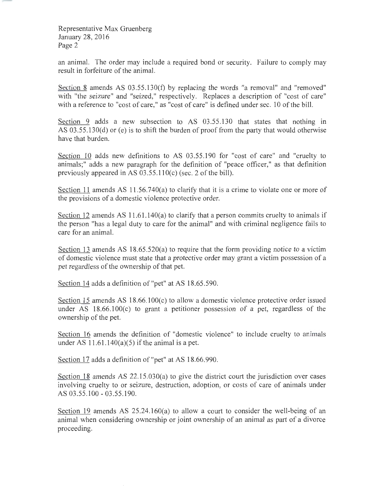Representative Max Gruenberg January 28, 2016 Page 2

an animal. The order may include a required bond or security. Failure to comply may result in forfeiture of the animal.

Section 8 amends AS  $03.55.130(f)$  by replacing the words "a removal" and "removed" with "the seizure" and "seized," respectively. Replaces a description of "cost of care" with a reference to "cost of care," as "cost of care" is defined under sec. 10 of the bill.

Section 9 adds a new subsection to AS 03.55.130 that states that nothing in AS 03.55.130(d) or (e) is to shift the burden of proof from the party that would otherwise have that burden.

Section 10 adds new definitions to AS 03.55.190 for "cost of care" and "cruelty to animals;" adds a new paragraph for the definition of "peace officer," as that definition previously appeared in AS 03 .55.110(c) (sec. 2 of the bill).

Section 11 amends AS 11.56.740(a) to clarify that it is a crime to violate one or more of the provisions of a domestic violence protective order.

Section 12 amends AS 11.61.140(a) to clarify that a person commits cruelty to animals if the person "has a legal duty to care for the animal" and with criminal negligence fails to care for an animal.

Section 13 amends AS 18.65.520(a) to require that the form providing notice to a victim of domestic violence must state that a protective order may grant a victim possession of a pet regardless of the ownership of that pet.

Section 14 adds a definition of"pet" at AS 18.65.590.

Section  $15$  amends AS 18.66.100 $(c)$  to allow a domestic violence protective order issued under AS 18.66.100(c) to grant a petitioner possession of a pet, regardless of the ownership of the pet.

Section 16 amends the definition of "domestic violence" to include cruelty to arimals under AS  $11.61.140(a)(5)$  if the animal is a pet.

Section 17 adds a definition of "pet" at AS 18.66.990.

Section 18 amends AS 22.15.030(a) to give the district court the jurisdiction over cases involving cruelty to or seizure, destruction, adoption, or costs of care of animals under AS 03.55.100 - 03 .55 .190.

Section 19 amends AS 25.24.160(a) to allow a court to consider the well-being of an animal when considering ownership or joint ownership of an animal as part of a divorce proceeding.